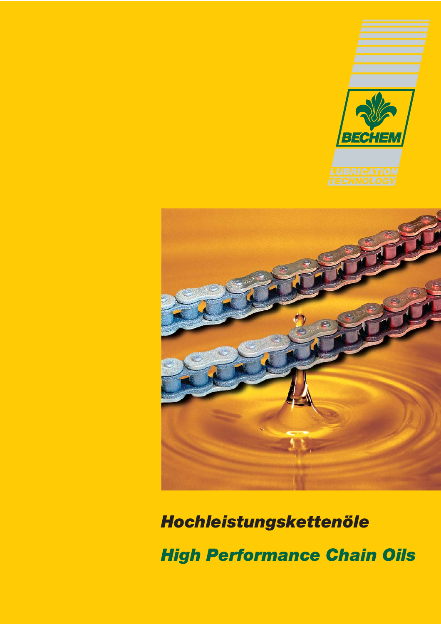



*Hochleistungskettenöle*

*High Performance Chain Oils*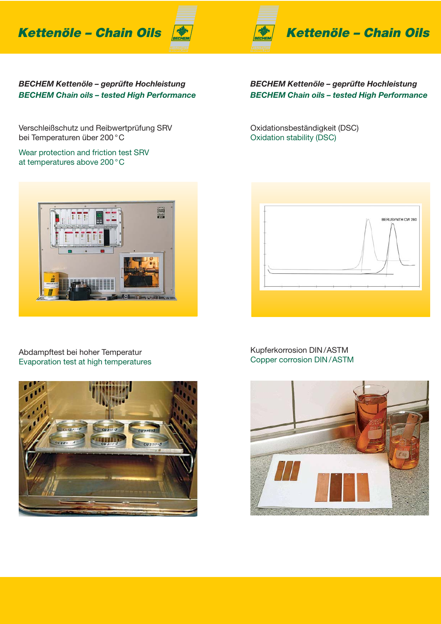**Kettenöle – Chain Oils**



*BECHEM Kettenöle – geprüfte Hochleistung*

*BECHEM Kettenöle – geprüfte Hochleistung BECHEM Chain oils – tested High Performance*

Verschleißschutz und Reibwertprüfung SRV bei Temperaturen über 200 °C

Wear protection and friction test SRV at temperatures above 200 °C

*BECHEM Chain oils – tested High Performance*

Oxidationsbeständigkeit (DSC) Oxidation stability (DSC)



#### Abdampftest bei hoher Temperatur Evaporation test at high temperatures





#### Kupferkorrosion DIN /ASTM Copper corrosion DIN /ASTM

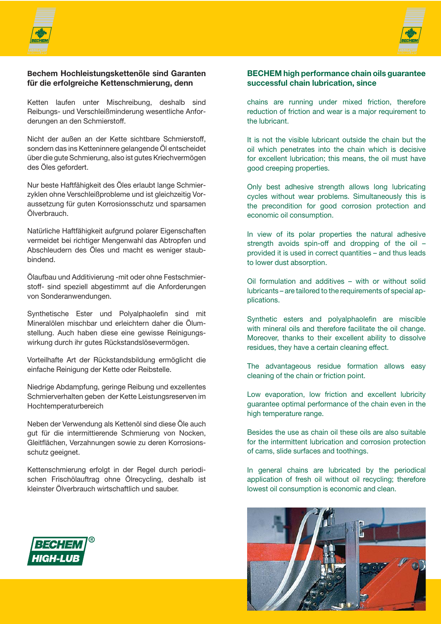



Ketten laufen unter Mischreibung, deshalb sind Reibungs- und Verschleißminderung wesentliche Anforderungen an den Schmierstoff.

Nicht der außen an der Kette sichtbare Schmierstoff, sondern das ins Ketteninnere gelangende Öl entscheidet über die gute Schmierung, also ist gutes Kriechvermögen des Öles gefordert.

Nur beste Haftfähigkeit des Öles erlaubt lange Schmierzyklen ohne Verschleißprobleme und ist gleichzeitig Voraussetzung für guten Korrosionsschutz und sparsamen Ölverbrauch.

Natürliche Haftfähigkeit aufgrund polarer Eigenschaften vermeidet bei richtiger Mengenwahl das Abtropfen und Abschleudern des Öles und macht es weniger staubbindend.

Ölaufbau und Additivierung -mit oder ohne Festschmierstoff- sind speziell abgestimmt auf die Anforderungen von Sonderanwendungen.

Synthetische Ester und Polyalphaolefin sind mit Mineralölen mischbar und erleichtern daher die Ölumstellung. Auch haben diese eine gewisse Reinigungswirkung durch ihr gutes Rückstandslösevermögen.

Vorteilhafte Art der Rückstandsbildung ermöglicht die einfache Reinigung der Kette oder Reibstelle.

Niedrige Abdampfung, geringe Reibung und exzellentes Schmierverhalten geben der Kette Leistungsreserven im Hochtemperaturbereich

Neben der Verwendung als Kettenöl sind diese Öle auch gut für die intermittierende Schmierung von Nocken, Gleitflächen, Verzahnungen sowie zu deren Korrosionsschutz geeignet.

Kettenschmierung erfolgt in der Regel durch periodischen Frischölauftrag ohne Ölrecycling, deshalb ist kleinster Ölverbrauch wirtschaftlich und sauber.



#### **BECHEM high performance chain oils guarantee successful chain lubrication, since**

chains are running under mixed friction, therefore reduction of friction and wear is a major requirement to the lubricant.

It is not the visible lubricant outside the chain but the oil which penetrates into the chain which is decisive for excellent lubrication; this means, the oil must have good creeping properties.

Only best adhesive strength allows long lubricating cycles without wear problems. Simultaneously this is the precondition for good corrosion protection and economic oil consumption.

In view of its polar properties the natural adhesive strength avoids spin-off and dropping of the oil – provided it is used in correct quantities – and thus leads to lower dust absorption.

Oil formulation and additives – with or without solid lubricants – are tailored to the requirements of special applications.

Synthetic esters and polyalphaolefin are miscible with mineral oils and therefore facilitate the oil change. Moreover, thanks to their excellent ability to dissolve residues, they have a certain cleaning effect.

The advantageous residue formation allows easy cleaning of the chain or friction point.

Low evaporation, low friction and excellent lubricity guarantee optimal performance of the chain even in the high temperature range.

Besides the use as chain oil these oils are also suitable for the intermittent lubrication and corrosion protection of cams, slide surfaces and toothings.

In general chains are lubricated by the periodical application of fresh oil without oil recycling; therefore lowest oil consumption is economic and clean.



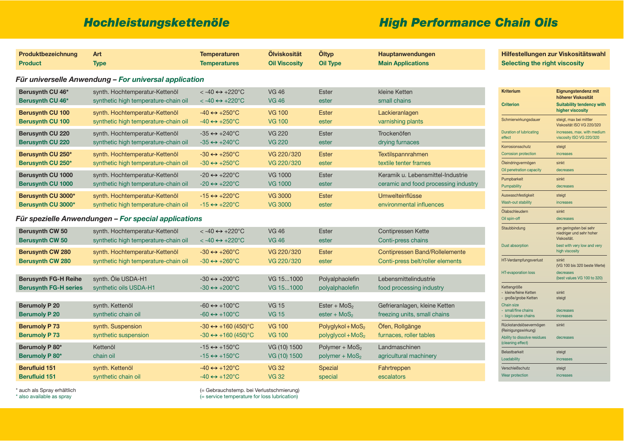| Produktbezeichnung           | Art                                                   | <b>Temperaturen</b>                   | Ölviskosität         | Öltyp               | Hauptanwendungen                      |
|------------------------------|-------------------------------------------------------|---------------------------------------|----------------------|---------------------|---------------------------------------|
| <b>Product</b>               | <b>Type</b>                                           | <b>Temperatures</b>                   | <b>Oil Viscosity</b> | <b>Oil Type</b>     | <b>Main Applications</b>              |
|                              | Für universelle Anwendung – For universal application |                                       |                      |                     |                                       |
| Berusynth CU 46*             | synth. Hochtemperatur-Kettenöl                        | $< -40 \leftrightarrow +220^{\circ}C$ | <b>VG 46</b>         | <b>Ester</b>        | kleine Ketten                         |
| Berusynth CU 46*             | synthetic high temperature-chain oil                  | $< -40 \leftrightarrow +220^{\circ}C$ | <b>VG 46</b>         | ester               | small chains                          |
| <b>Berusynth CU 100</b>      | synth. Hochtemperatur-Kettenöl                        | $-40 \leftrightarrow +250$ °C         | <b>VG 100</b>        | <b>Ester</b>        | Lackieranlagen                        |
| <b>Berusynth CU 100</b>      | synthetic high temperature-chain oil                  | $-40 \leftrightarrow +250$ °C         | <b>VG 100</b>        | ester               | varnishing plants                     |
| <b>Berusynth CU 220</b>      | synth. Hochtemperatur-Kettenöl                        | $-35 \leftrightarrow +240^{\circ}C$   | <b>VG 220</b>        | <b>Ester</b>        | Trockenöfen                           |
| <b>Berusynth CU 220</b>      | synthetic high temperature-chain oil                  | $-35 \leftrightarrow +240^{\circ}C$   | <b>VG 220</b>        | ester               | drying furnaces                       |
| Berusynth CU 250*            | synth. Hochtemperatur-Kettenöl                        | $-30 \leftrightarrow +250$ °C         | VG 220/320           | <b>Ester</b>        | Textilspannrahmen                     |
| Berusynth CU 250*            | synthetic high temperature-chain oil                  | $-30 \leftrightarrow +250^{\circ}C$   | VG 220/320           | ester               | textile tenter frames                 |
| <b>Berusynth CU 1000</b>     | synth. Hochtemperatur-Kettenöl                        | $-20 \leftrightarrow +220$ °C         | <b>VG 1000</b>       | <b>Ester</b>        | Keramik u. Lebensmittel-Industrie     |
| <b>Berusynth CU 1000</b>     | synthetic high temperature-chain oil                  | $-20 \leftrightarrow +220$ °C         | <b>VG 1000</b>       | ester               | ceramic and food processing industry  |
| Berusynth CU 3000*           | synth. Hochtemperatur-Kettenöl                        | $-15 \leftrightarrow +220$ °C         | <b>VG 3000</b>       | <b>Ester</b>        | Umwelteinflüsse                       |
| Berusynth CU 3000*           | synthetic high temperature-chain oil                  | $-15 \leftrightarrow +220$ °C         | <b>VG 3000</b>       | ester               | environmental influences              |
|                              | Für spezielle Anwendungen – For special applications  |                                       |                      |                     |                                       |
| <b>Berusynth CW 50</b>       | synth. Hochtemperatur-Kettenöl                        | $< -40 \leftrightarrow +220^{\circ}C$ | <b>VG 46</b>         | <b>Ester</b>        | <b>Contipressen Kette</b>             |
| <b>Berusynth CW 50</b>       | synthetic high temperature-chain oil                  | $< -40 \leftrightarrow +220^{\circ}C$ | <b>VG 46</b>         | ester               | Conti-press chains                    |
| <b>Berusynth CW 280</b>      | synth. Hochtemperatur-Kettenöl                        | $-30 \leftrightarrow +260^{\circ}C$   | VG 220/320           | <b>Ester</b>        | <b>Contipressen Band/Rollelemente</b> |
| <b>Berusynth CW 280</b>      | synthetic high temperature-chain oil                  | $-30 \leftrightarrow +260^{\circ}C$   | VG 220/320           | ester               | Conti-press belt/roller elements      |
| <b>Berusynth FG-H Reihe</b>  | synth. Öle USDA-H1                                    | $-30 \leftrightarrow +200$ °C         | VG 151000            | Polyalphaolefin     | Lebensmittelindustrie                 |
| <b>Berusynth FG-H series</b> | synthetic oils USDA-H1                                | $-30 \leftrightarrow +200^{\circ}C$   | VG 151000            | polyalphaolefin     | food processing industry              |
| <b>Berumoly P 20</b>         | synth. Kettenöl                                       | $-60 \leftrightarrow +100^{\circ}$ C  | <b>VG 15</b>         | Ester + $MoS2$      | Gefrieranlagen, kleine Ketten         |
| <b>Berumoly P 20</b>         | synthetic chain oil                                   | $-60 \leftrightarrow +100^{\circ}C$   | <b>VG 15</b>         | ester + $MoS2$      | freezing units, small chains          |
| <b>Berumoly P 73</b>         | synth. Suspension                                     | $-30 \leftrightarrow +160 (450)$ °C   | <b>VG 100</b>        | $Polyglykol+MoS2$   | Öfen, Rollgänge                       |
| <b>Berumoly P73</b>          | synthetic suspension                                  | $-30 \leftrightarrow +160 (450)$ °C   | <b>VG 100</b>        | $polyglycol + MoS2$ | furnaces, roller tables               |
| Berumoly P 80*               | Kettenöl                                              | $-15 \leftrightarrow +150^{\circ}C$   | VG (10) 1500         | Polymer + $MoS2$    | Landmaschinen                         |
| <b>Berumoly P 80*</b>        | chain oil                                             | $-15 \leftrightarrow +150^{\circ}C$   | VG (10) 1500         | polymer + $MoS2$    | agricultural machinery                |
| <b>Berufluid 151</b>         | synth. Kettenöl                                       | $-40 \leftrightarrow +120^{\circ}C$   | <b>VG 32</b>         | Spezial             | Fahrtreppen                           |
| <b>Berufluid 151</b>         | synthetic chain oil                                   | $-40 \leftrightarrow +120^{\circ}C$   | <b>VG 32</b>         | special             | escalators                            |

\* auch als Spray erhältlich (= Gebrauchstemp. bei Verlustschmierung)<br>
\* also available as spray (= service temperature for loss lubrication) (= service temperature for loss lubrication)

# *Hochleistungskettenöle High Performance Chain Oils*

## **Hilfestellungen zur Viskositätswahl Selecting the right viscosity**









| <b>Criterion</b><br><b>Suitability tendency with</b><br>higher viscosity<br>Schmierwirkungsdauer<br>steigt, max bei mittler<br>Viskosität ISO VG 220/320<br>increases, max. with medium<br><b>Duration of lubricating</b><br>viscosity ISO VG 220/320<br>effect<br>Korrosionsschutz<br>steigt<br><b>Corrosion protection</b><br>increases<br>Öleindringvermögen<br>sinkt<br>Oil penetration capacity<br>decreases<br>Pumpbarkeit<br>sinkt<br>Pumpability<br>decreases<br>Auswaschfestigkeit<br>steigt<br>Wash-out stability<br>increases<br>Ölabschleudern<br>sinkt<br>Oil spin-off<br>decreases<br>am geringsten bei sehr<br>Staubbindung<br>niedriger und sehr hoher<br>Viskosität.<br>best with very low and very<br><b>Dust absorption</b><br>high viscosity<br>HT-Verdampfungsverlust<br>sinkt<br>(VG 100 bis 320 beste Werte)<br><b>HT-evaporation loss</b><br>decreases<br>(best values VG 100 to 320)<br>Kettengröße<br>- kleine/feine Ketten<br>sinkt<br>- große/grobe Ketten<br>steigt<br>Chain size<br>small/fine chains<br>decreases<br>- big/coarse chains<br>increases<br>Rückstandslösevermögen<br>sinkt<br>(Reinigungswirkung)<br>Ability to dissolve residues<br>decreases<br>(cleaning effect)<br><b>Belastbarkeit</b><br>steigt<br>Loadability<br>increases<br>Verschleißschutz<br>steigt<br>Wear protection<br>increases | <b>Kriterium</b> | <b>Eignungstendenz mit</b><br>höherer Viskosität |
|----------------------------------------------------------------------------------------------------------------------------------------------------------------------------------------------------------------------------------------------------------------------------------------------------------------------------------------------------------------------------------------------------------------------------------------------------------------------------------------------------------------------------------------------------------------------------------------------------------------------------------------------------------------------------------------------------------------------------------------------------------------------------------------------------------------------------------------------------------------------------------------------------------------------------------------------------------------------------------------------------------------------------------------------------------------------------------------------------------------------------------------------------------------------------------------------------------------------------------------------------------------------------------------------------------------------------------------------|------------------|--------------------------------------------------|
|                                                                                                                                                                                                                                                                                                                                                                                                                                                                                                                                                                                                                                                                                                                                                                                                                                                                                                                                                                                                                                                                                                                                                                                                                                                                                                                                              |                  |                                                  |
|                                                                                                                                                                                                                                                                                                                                                                                                                                                                                                                                                                                                                                                                                                                                                                                                                                                                                                                                                                                                                                                                                                                                                                                                                                                                                                                                              |                  |                                                  |
|                                                                                                                                                                                                                                                                                                                                                                                                                                                                                                                                                                                                                                                                                                                                                                                                                                                                                                                                                                                                                                                                                                                                                                                                                                                                                                                                              |                  |                                                  |
|                                                                                                                                                                                                                                                                                                                                                                                                                                                                                                                                                                                                                                                                                                                                                                                                                                                                                                                                                                                                                                                                                                                                                                                                                                                                                                                                              |                  |                                                  |
|                                                                                                                                                                                                                                                                                                                                                                                                                                                                                                                                                                                                                                                                                                                                                                                                                                                                                                                                                                                                                                                                                                                                                                                                                                                                                                                                              |                  |                                                  |
|                                                                                                                                                                                                                                                                                                                                                                                                                                                                                                                                                                                                                                                                                                                                                                                                                                                                                                                                                                                                                                                                                                                                                                                                                                                                                                                                              |                  |                                                  |
|                                                                                                                                                                                                                                                                                                                                                                                                                                                                                                                                                                                                                                                                                                                                                                                                                                                                                                                                                                                                                                                                                                                                                                                                                                                                                                                                              |                  |                                                  |
|                                                                                                                                                                                                                                                                                                                                                                                                                                                                                                                                                                                                                                                                                                                                                                                                                                                                                                                                                                                                                                                                                                                                                                                                                                                                                                                                              |                  |                                                  |
|                                                                                                                                                                                                                                                                                                                                                                                                                                                                                                                                                                                                                                                                                                                                                                                                                                                                                                                                                                                                                                                                                                                                                                                                                                                                                                                                              |                  |                                                  |
|                                                                                                                                                                                                                                                                                                                                                                                                                                                                                                                                                                                                                                                                                                                                                                                                                                                                                                                                                                                                                                                                                                                                                                                                                                                                                                                                              |                  |                                                  |
|                                                                                                                                                                                                                                                                                                                                                                                                                                                                                                                                                                                                                                                                                                                                                                                                                                                                                                                                                                                                                                                                                                                                                                                                                                                                                                                                              |                  |                                                  |
|                                                                                                                                                                                                                                                                                                                                                                                                                                                                                                                                                                                                                                                                                                                                                                                                                                                                                                                                                                                                                                                                                                                                                                                                                                                                                                                                              |                  |                                                  |
|                                                                                                                                                                                                                                                                                                                                                                                                                                                                                                                                                                                                                                                                                                                                                                                                                                                                                                                                                                                                                                                                                                                                                                                                                                                                                                                                              |                  |                                                  |
|                                                                                                                                                                                                                                                                                                                                                                                                                                                                                                                                                                                                                                                                                                                                                                                                                                                                                                                                                                                                                                                                                                                                                                                                                                                                                                                                              |                  |                                                  |
|                                                                                                                                                                                                                                                                                                                                                                                                                                                                                                                                                                                                                                                                                                                                                                                                                                                                                                                                                                                                                                                                                                                                                                                                                                                                                                                                              |                  |                                                  |
|                                                                                                                                                                                                                                                                                                                                                                                                                                                                                                                                                                                                                                                                                                                                                                                                                                                                                                                                                                                                                                                                                                                                                                                                                                                                                                                                              |                  |                                                  |
|                                                                                                                                                                                                                                                                                                                                                                                                                                                                                                                                                                                                                                                                                                                                                                                                                                                                                                                                                                                                                                                                                                                                                                                                                                                                                                                                              |                  |                                                  |
|                                                                                                                                                                                                                                                                                                                                                                                                                                                                                                                                                                                                                                                                                                                                                                                                                                                                                                                                                                                                                                                                                                                                                                                                                                                                                                                                              |                  |                                                  |
|                                                                                                                                                                                                                                                                                                                                                                                                                                                                                                                                                                                                                                                                                                                                                                                                                                                                                                                                                                                                                                                                                                                                                                                                                                                                                                                                              |                  |                                                  |
|                                                                                                                                                                                                                                                                                                                                                                                                                                                                                                                                                                                                                                                                                                                                                                                                                                                                                                                                                                                                                                                                                                                                                                                                                                                                                                                                              |                  |                                                  |
|                                                                                                                                                                                                                                                                                                                                                                                                                                                                                                                                                                                                                                                                                                                                                                                                                                                                                                                                                                                                                                                                                                                                                                                                                                                                                                                                              |                  |                                                  |
|                                                                                                                                                                                                                                                                                                                                                                                                                                                                                                                                                                                                                                                                                                                                                                                                                                                                                                                                                                                                                                                                                                                                                                                                                                                                                                                                              |                  |                                                  |
|                                                                                                                                                                                                                                                                                                                                                                                                                                                                                                                                                                                                                                                                                                                                                                                                                                                                                                                                                                                                                                                                                                                                                                                                                                                                                                                                              |                  |                                                  |
|                                                                                                                                                                                                                                                                                                                                                                                                                                                                                                                                                                                                                                                                                                                                                                                                                                                                                                                                                                                                                                                                                                                                                                                                                                                                                                                                              |                  |                                                  |
|                                                                                                                                                                                                                                                                                                                                                                                                                                                                                                                                                                                                                                                                                                                                                                                                                                                                                                                                                                                                                                                                                                                                                                                                                                                                                                                                              |                  |                                                  |
|                                                                                                                                                                                                                                                                                                                                                                                                                                                                                                                                                                                                                                                                                                                                                                                                                                                                                                                                                                                                                                                                                                                                                                                                                                                                                                                                              |                  |                                                  |
|                                                                                                                                                                                                                                                                                                                                                                                                                                                                                                                                                                                                                                                                                                                                                                                                                                                                                                                                                                                                                                                                                                                                                                                                                                                                                                                                              |                  |                                                  |
|                                                                                                                                                                                                                                                                                                                                                                                                                                                                                                                                                                                                                                                                                                                                                                                                                                                                                                                                                                                                                                                                                                                                                                                                                                                                                                                                              |                  |                                                  |